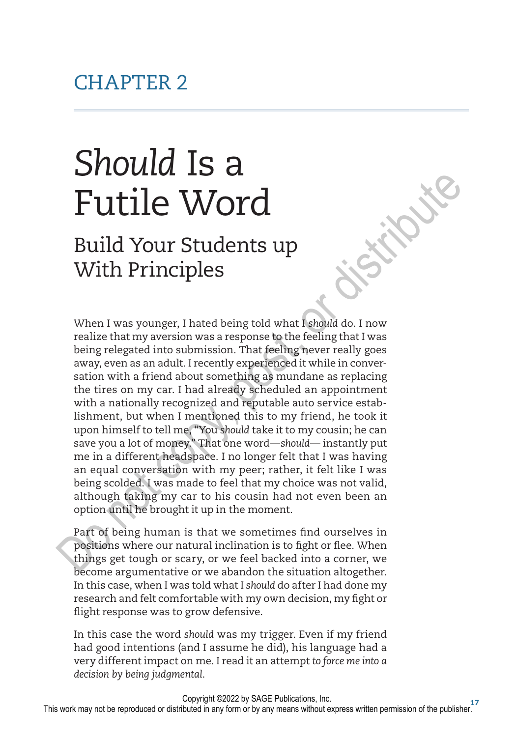#### CHAPTER 2

# *Should* Is a Futile Word

### Build Your Students up With Principles

When I was younger, I hated being told what I *should* do. I now realize that my aversion was a response to the feeling that I was being relegated into submission. That feeling never really goes away, even as an adult. I recently experienced it while in conversation with a friend about something as mundane as replacing the tires on my car. I had already scheduled an appointment with a nationally recognized and reputable auto service establishment, but when I mentioned this to my friend, he took it upon himself to tell me, "You *should* take it to my cousin; he can save you a lot of money." That one word—*should*— instantly put me in a different headspace. I no longer felt that I was having an equal conversation with my peer; rather, it felt like I was being scolded. I was made to feel that my choice was not valid, although taking my car to his cousin had not even been an option until he brought it up in the moment. **Futile Word**<br> **Futile Work Students up**<br>
With Principles<br>
When I was younger, I hated being told what Ishould do. I now<br>
realize that my aversion was a response to the feeling that I was<br>
being relegated into submission.

Part of being human is that we sometimes find ourselves in positions where our natural inclination is to fight or flee. When things get tough or scary, or we feel backed into a corner, we become argumentative or we abandon the situation altogether. In this case, when I was told what I *should* do after I had done my research and felt comfortable with my own decision, my fight or flight response was to grow defensive.

In this case the word *should* was my trigger. Even if my friend had good intentions (and I assume he did), his language had a very different impact on me. I read it an attempt *to force me into a decision by being judgmental*.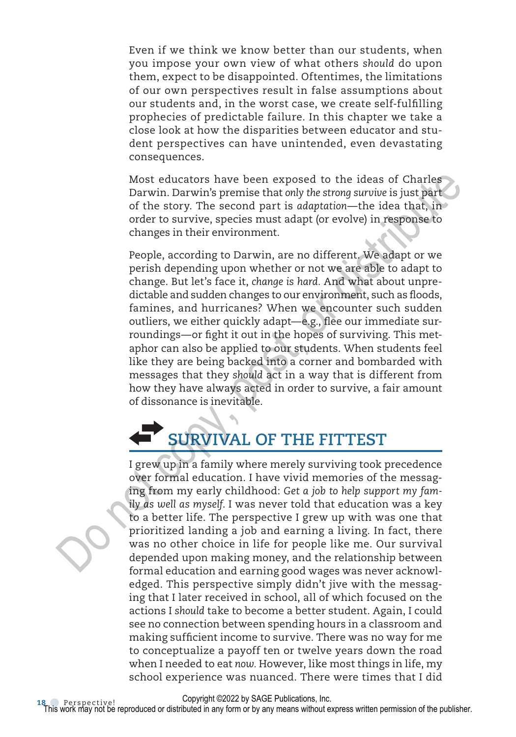Even if we think we know better than our students, when you impose your own view of what others *should* do upon them, expect to be disappointed. Oftentimes, the limitations of our own perspectives result in false assumptions about our students and, in the worst case, we create self-fulfilling prophecies of predictable failure. In this chapter we take a close look at how the disparities between educator and student perspectives can have unintended, even devastating consequences.

Most educators have been exposed to the ideas of Charles Darwin. Darwin's premise that *only the strong survive* is just part of the story. The second part is *adaptation—*the idea that, in order to survive, species must adapt (or evolve) in response to changes in their environment.

People, according to Darwin, are no different. We adapt or we perish depending upon whether or not we are able to adapt to change. But let's face it, *change is hard.* And what about unpredictable and sudden changes to our environment, such as floods, famines, and hurricanes? When we encounter such sudden outliers, we either quickly adapt—e.g., flee our immediate surroundings—or fight it out in the hopes of surviving. This metaphor can also be applied to our students. When students feel like they are being backed into a corner and bombarded with messages that they *should* act in a way that is different from how they have always acted in order to survive, a fair amount of dissonance is inevitable. Most educators have been exposed to the ideas of Charles<br>
Darwin Darwin's premise that moly the strong survive is just part<br>
of the story. The second part is adaptation—the idea that, in<br>
order to survive, species must ada

### **SURVIVAL OF THE FITTEST**

I grew up in a family where merely surviving took precedence over formal education. I have vivid memories of the messaging from my early childhood: *Get a job to help support my family as well as myself*. I was never told that education was a key to a better life. The perspective I grew up with was one that prioritized landing a job and earning a living. In fact, there was no other choice in life for people like me. Our survival depended upon making money, and the relationship between formal education and earning good wages was never acknowledged. This perspective simply didn't jive with the messaging that I later received in school, all of which focused on the actions I *should* take to become a better student. Again, I could see no connection between spending hours in a classroom and making sufficient income to survive. There was no way for me to conceptualize a payoff ten or twelve years down the road when I needed to eat *now.* However, like most things in life, my school experience was nuanced. There were times that I did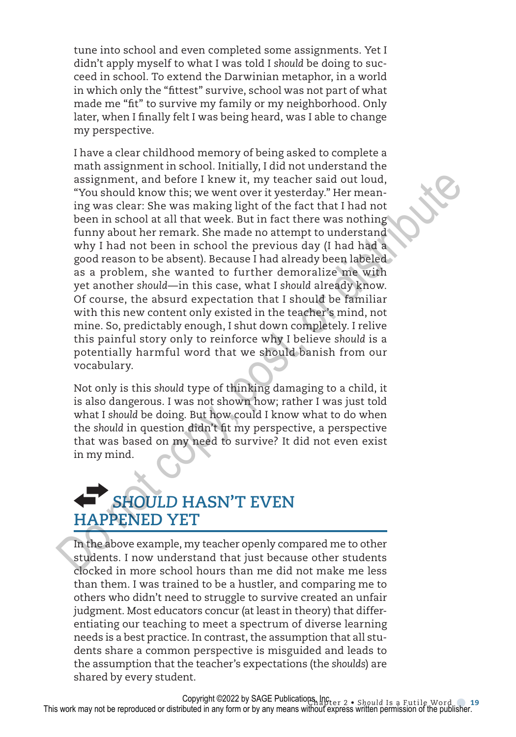tune into school and even completed some assignments. Yet I didn't apply myself to what I was told I *should* be doing to succeed in school. To extend the Darwinian metaphor, in a world in which only the "fittest" survive, school was not part of what made me "fit" to survive my family or my neighborhood. Only later, when I finally felt I was being heard, was I able to change my perspective.

I have a clear childhood memory of being asked to complete a math assignment in school. Initially, I did not understand the assignment, and before I knew it, my teacher said out loud, "You should know this; we went over it yesterday." Her meaning was clear: She was making light of the fact that I had not been in school at all that week. But in fact there was nothing funny about her remark. She made no attempt to understand why I had not been in school the previous day (I had had a good reason to be absent). Because I had already been labeled as a problem, she wanted to further demoralize me with yet another *should—*in this case, what I *should* already know. Of course, the absurd expectation that I should be familiar with this new content only existed in the teacher's mind, not mine. So, predictably enough, I shut down completely. I relive this painful story only to reinforce why I believe *should* is a potentially harmful word that we should banish from our vocabulary. assignment, and before I knew it, my teacher said out loud,<br>"You should know this; we went over it yesterday." Her mean-<br>ing was clear: She was making light of the fact that I had not<br>been in school at all that week. But i

Not only is this *should* type of thinking damaging to a child, it is also dangerous. I was not shown how; rather I was just told what I *should* be doing. But how could I know what to do when the *should* in question didn't fit my perspective, a perspective that was based on my need to survive? It did not even exist in my mind.

#### **SHOULD HASN'T EVEN HAPPENED YET**

In the above example, my teacher openly compared me to other students. I now understand that just because other students clocked in more school hours than me did not make me less than them. I was trained to be a hustler, and comparing me to others who didn't need to struggle to survive created an unfair judgment. Most educators concur (at least in theory) that differentiating our teaching to meet a spectrum of diverse learning needs is a best practice. In contrast, the assumption that all students share a common perspective is misguided and leads to the assumption that the teacher's expectations (the *shoulds*) are shared by every student.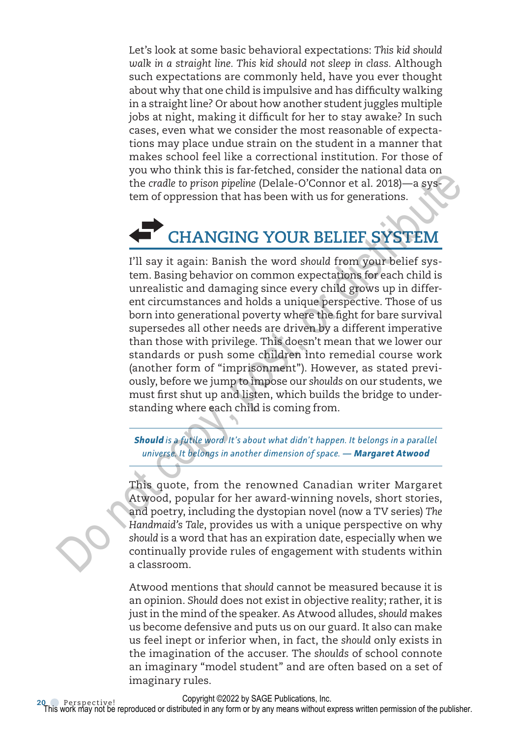Let's look at some basic behavioral expectations: *This kid should walk in a straight line. This kid should not sleep in class.* Although such expectations are commonly held, have you ever thought about why that one child is impulsive and has difficulty walking in a straight line? Or about how another student juggles multiple jobs at night, making it difficult for her to stay awake? In such cases, even what we consider the most reasonable of expectations may place undue strain on the student in a manner that makes school feel like a correctional institution. For those of you who think this is far-fetched, consider the national data on the *cradle to prison pipeline* (Delale-O'Connor et al. 2018)*—*a system of oppression that has been with us for generations.

# **CHANGING YOUR BELIEF SYSTEM**

I'll say it again: Banish the word *should* from your belief system. Basing behavior on common expectations for each child is unrealistic and damaging since every child grows up in different circumstances and holds a unique perspective. Those of us born into generational poverty where the fight for bare survival supersedes all other needs are driven by a different imperative than those with privilege. This doesn't mean that we lower our standards or push some children into remedial course work (another form of "imprisonment"). However, as stated previously, before we jump to impose our *shoulds* on our students, we must first shut up and listen, which builds the bridge to understanding where each child is coming from. For every that counter the match of the state of the crade to prison pipeline (Delale-O'Connor et al. 2018)—a gystem of oppression that has been with us for generations.<br>
TII say it again: Banish the word should from your

**Should** *is a futile word. It's about what didn't happen. It belongs in a parallel universe. It belongs in another dimension of space. —* **Margaret Atwood**

This quote, from the renowned Canadian writer Margaret Atwood, popular for her award-winning novels, short stories, and poetry, including the dystopian novel (now a TV series) *The Handmaid's Tale*, provides us with a unique perspective on why *should* is a word that has an expiration date, especially when we continually provide rules of engagement with students within a classroom.

Atwood mentions that *should* cannot be measured because it is an opinion. *Should* does not exist in objective reality; rather, it is just in the mind of the speaker. As Atwood alludes, *should* makes us become defensive and puts us on our guard. It also can make us feel inept or inferior when, in fact, the *should* only exists in the imagination of the accuser. The *shoulds* of school connote an imaginary "model student" and are often based on a set of imaginary rules.

Copyright ©2022 by SAGE Publications, Inc.

20 Perspective! This work may not be reproduced or distributed in any form or by any means without express written permission of the publisher.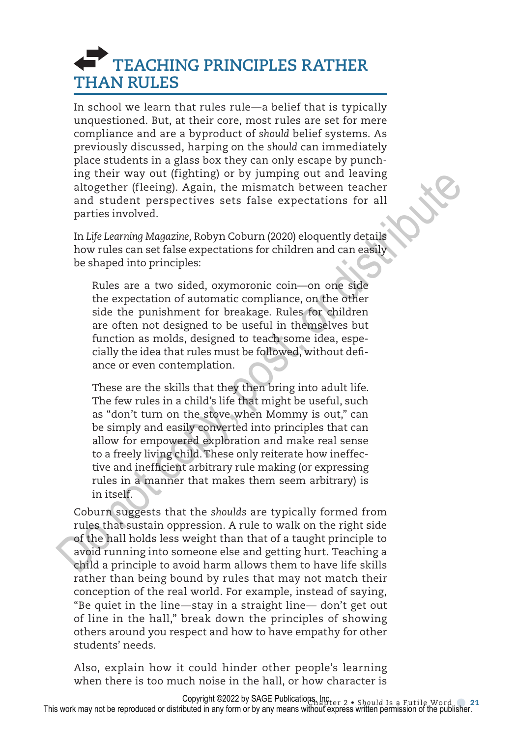#### **TEACHING PRINCIPLES RATHER THAN RULES**

In school we learn that rules rule—a belief that is typically unquestioned. But, at their core, most rules are set for mere compliance and are a byproduct of *should* belief systems. As previously discussed, harping on the *should* can immediately place students in a glass box they can only escape by punching their way out (fighting) or by jumping out and leaving altogether (fleeing). Again, the mismatch between teacher and student perspectives sets false expectations for all parties involved.

In *Life Learning Magazine,* Robyn Coburn (2020) eloquently details how rules can set false expectations for children and can easily be shaped into principles:

Rules are a two sided, oxymoronic coin—on one side the expectation of automatic compliance, on the other side the punishment for breakage. Rules for children are often not designed to be useful in themselves but function as molds, designed to teach some idea, especially the idea that rules must be followed, without defiance or even contemplation.

These are the skills that they then bring into adult life. The few rules in a child's life that might be useful, such as "don't turn on the stove when Mommy is out," can be simply and easily converted into principles that can allow for empowered exploration and make real sense to a freely living child. These only reiterate how ineffective and inefficient arbitrary rule making (or expressing rules in a manner that makes them seem arbitrary) is in itself. In the way out (tingting) or by jumping out and leaving<br>altogether (fleeing). Again, the mismatch between teacher<br>and student perspectives sets false expectations for all<br>parties involved.<br>In light carring Magazine, Robyn

Coburn suggests that the *shoulds* are typically formed from rules that sustain oppression. A rule to walk on the right side of the hall holds less weight than that of a taught principle to avoid running into someone else and getting hurt. Teaching a child a principle to avoid harm allows them to have life skills rather than being bound by rules that may not match their conception of the real world. For example, instead of saying, "Be quiet in the line—stay in a straight line— don't get out of line in the hall," break down the principles of showing others around you respect and how to have empathy for other students' needs.

Also, explain how it could hinder other people's learning when there is too much noise in the hall, or how character is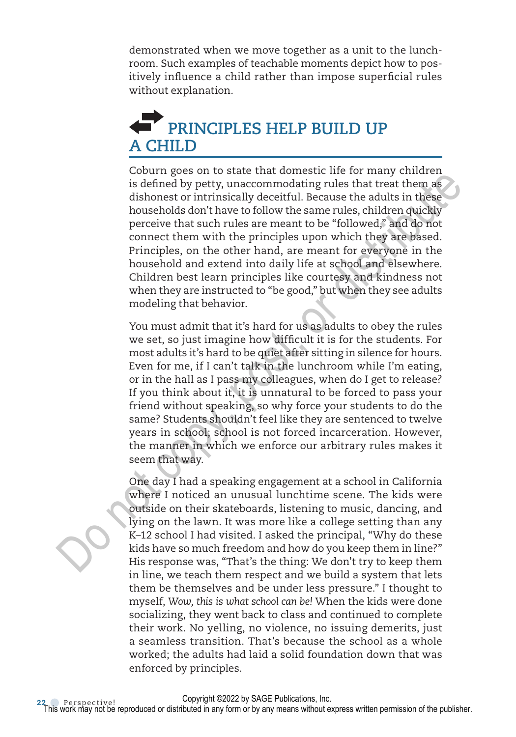demonstrated when we move together as a unit to the lunchroom. Such examples of teachable moments depict how to positively influence a child rather than impose superficial rules without explanation.

#### **PRINCIPLES HELP BUILD UP A CHILD**

Coburn goes on to state that domestic life for many children is defined by petty, unaccommodating rules that treat them as dishonest or intrinsically deceitful. Because the adults in these households don't have to follow the same rules, children quickly perceive that such rules are meant to be "followed," and do not connect them with the principles upon which they are based. Principles, on the other hand, are meant for everyone in the household and extend into daily life at school and elsewhere. Children best learn principles like courtesy and kindness not when they are instructed to "be good," but when they see adults modeling that behavior.

You must admit that it's hard for us as adults to obey the rules we set, so just imagine how difficult it is for the students. For most adults it's hard to be quiet after sitting in silence for hours. Even for me, if I can't talk in the lunchroom while I'm eating, or in the hall as I pass my colleagues, when do I get to release? If you think about it, it is unnatural to be forced to pass your friend without speaking, so why force your students to do the same? Students shouldn't feel like they are sentenced to twelve years in school; school is not forced incarceration. However, the manner in which we enforce our arbitrary rules makes it seem that way. Coouting theories are to the main that the mail that the shade in the shade hand by petty, unaccommodating rules that treat them as<br>dishonest or intrinsically decesitly. I Because the adults in the<br>genuine households don'

One day I had a speaking engagement at a school in California where I noticed an unusual lunchtime scene. The kids were outside on their skateboards, listening to music, dancing, and lying on the lawn. It was more like a college setting than any K–12 school I had visited. I asked the principal, "Why do these kids have so much freedom and how do you keep them in line?" His response was, "That's the thing: We don't try to keep them in line, we teach them respect and we build a system that lets them be themselves and be under less pressure." I thought to myself, *Wow, this is what school can be!* When the kids were done socializing, they went back to class and continued to complete their work. No yelling, no violence, no issuing demerits, just a seamless transition. That's because the school as a whole worked; the adults had laid a solid foundation down that was enforced by principles.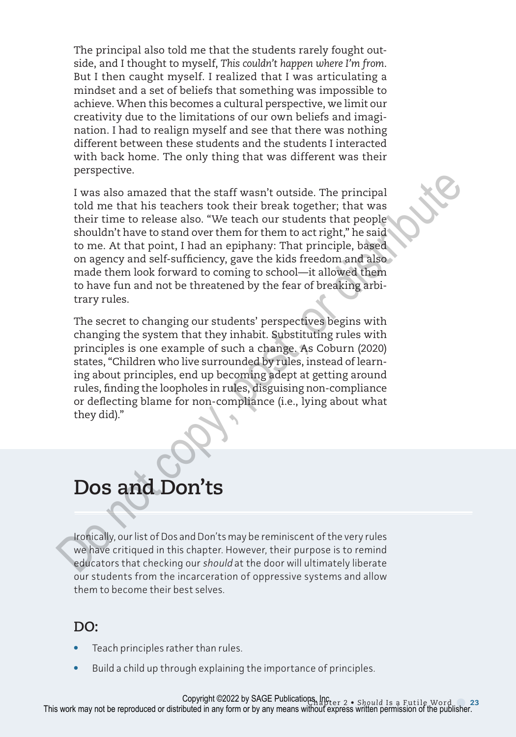The principal also told me that the students rarely fought outside, and I thought to myself, *This couldn't happen where I'm from*. But I then caught myself. I realized that I was articulating a mindset and a set of beliefs that something was impossible to achieve. When this becomes a cultural perspective, we limit our creativity due to the limitations of our own beliefs and imagination. I had to realign myself and see that there was nothing different between these students and the students I interacted with back home. The only thing that was different was their perspective.

I was also amazed that the staff wasn't outside. The principal told me that his teachers took their break together; that was their time to release also. "We teach our students that people shouldn't have to stand over them for them to act right," he said to me. At that point, I had an epiphany: That principle, based on agency and self-sufficiency, gave the kids freedom and also made them look forward to coming to school—it allowed them to have fun and not be threatened by the fear of breaking arbitrary rules. For the the teachers took their twan't outside. The principal<br>
I was also a mazed that the staff wasn't outside. The principal<br>
tool me that his teachers took their break together; that was<br>
their time to relasse also. "We

The secret to changing our students' perspectives begins with changing the system that they inhabit. Substituting rules with principles is one example of such a change. As Coburn (2020) states, "Children who live surrounded by rules, instead of learning about principles, end up becoming adept at getting around rules, finding the loopholes in rules, disguising non-compliance or deflecting blame for non-compliance (i.e., lying about what they did)."

## Dos and

Ironically, our list of Dos and Don'ts may be reminiscent of the very rules we have critiqued in this chapter. However, their purpose is to remind educators that checking our should at the door will ultimately liberate our students from the incarceration of oppressive systems and allow them to become their best selves.

#### **DO:**

- **•** Teach principles rather than rules.
- **•** Build a child up through explaining the importance of principles.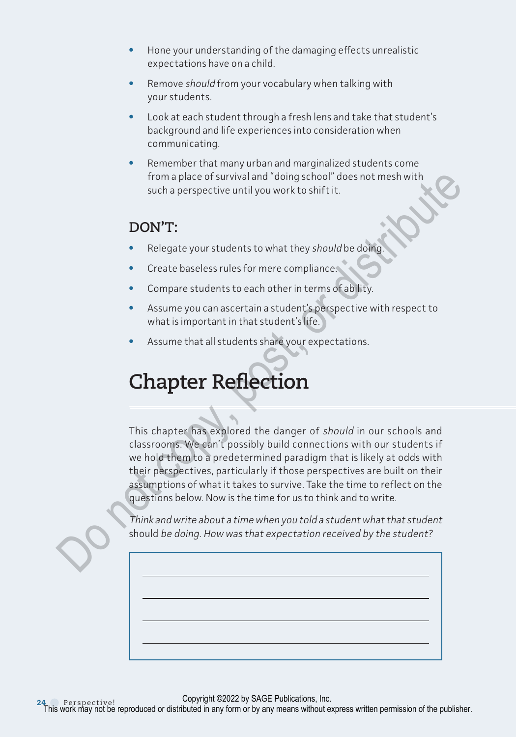- **•** Hone your understanding of the damaging effects unrealistic expectations have on a child.
- **•** Remove should from your vocabulary when talking with your students.
- **•** Look at each student through a fresh lens and take that student's background and life experiences into consideration when communicating.
- **•** Remember that many urban and marginalized students come from a place of survival and "doing school" does not mesh with such a perspective until you work to shift it.

#### **DON'T:**

- **•** Relegate your students to what they should be doing.
- **•** Create baseless rules for mere compliance.
- **•** Compare students to each other in terms of ability.
- **•** Assume you can ascertain a student's perspective with respect to what is important in that student's life.
- **•** Assume that all students share your expectations.

## **Chapter Reflection**

This chapter has explored the danger of should in our schools and classrooms. We can't possibly build connections with our students if we hold them to a predetermined paradigm that is likely at odds with their perspectives, particularly if those perspectives are built on their assumptions of what it takes to survive. Take the time to reflect on the questions below. Now is the time for us to think and to write. from a place of survival and "doing school" does not mesh with<br>such a perspective until you work to shift it.<br>DON'T:<br><br>• Relegate your students to what they *should* be doing<br>• Create baseless rules for mere compliance.<br>• C

Think and write about a time when you told a student what that student should be doing. How was that expectation received by the student?

Copyright ©2022 by SAGE Publications, Inc.

24 Perspective! This work may not be reproduced or distributed in any form or by any means without express written permission of the publisher.